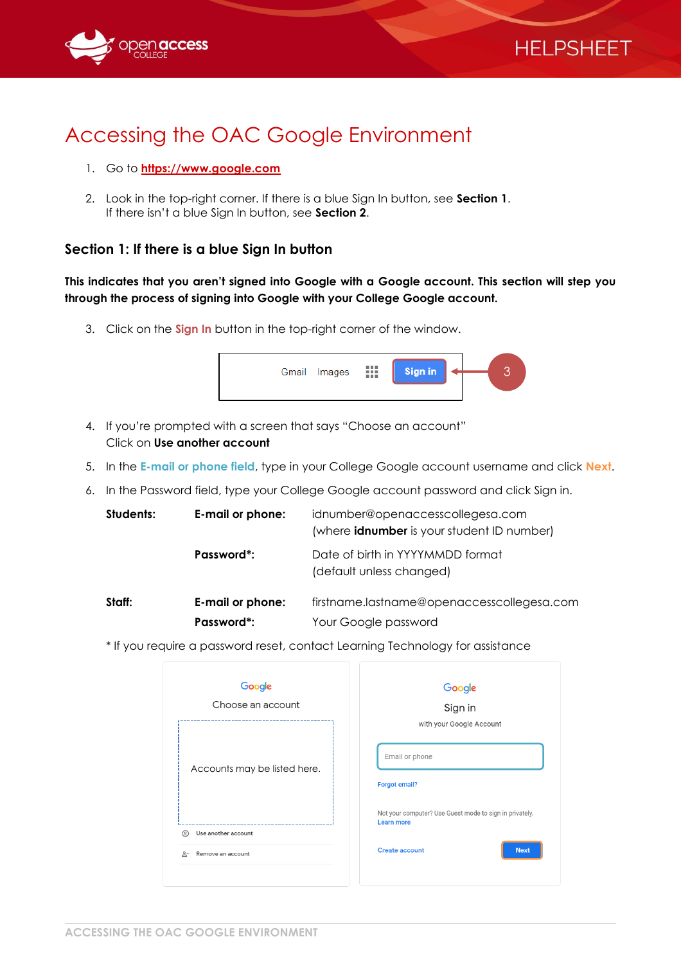



# Accessing the OAC Google Environment

- 1. Go to **[https://www.google.com](https://www.google.com/)**
- 2. Look in the top-right corner. If there is a blue Sign In button, see **Section 1**. If there isn't a blue Sign In button, see **Section 2**.

### **Section 1: If there is a blue Sign In button**

### **This indicates that you aren't signed into Google with a Google account. This section will step you through the process of signing into Google with your College Google account.**

3. Click on the **Sign In** button in the top-right corner of the window.

| Gmail Images | ₩ | <b>Sign in</b> |  |  |
|--------------|---|----------------|--|--|
|              |   |                |  |  |

- 4. If you're prompted with a screen that says "Choose an account" Click on **Use another account**
- 5. In the **E-mail or phone field**, type in your College Google account username and click **Next**.
- 6. In the Password field, type your College Google account password and click Sign in.

| Students:<br>E-mail or phone: |                  | idnumber@openaccesscollegesa.com<br>(where <i>idnumber</i> is your student ID number) |
|-------------------------------|------------------|---------------------------------------------------------------------------------------|
|                               | Password*:       | Date of birth in YYYYMMDD format<br>(default unless changed)                          |
| Staff:                        | E-mail or phone: | firstname.lastname@openaccesscollegesa.com                                            |
|                               | Password*:       | Your Google password                                                                  |

\* If you require a password reset, contact Learning Technology for assistance

| Google<br>Choose an account  | Google<br>Sign in<br>with your Google Account                         |
|------------------------------|-----------------------------------------------------------------------|
| Accounts may be listed here. | Email or phone<br><b>Forgot email?</b>                                |
| Use another account<br>©     | Not your computer? Use Guest mode to sign in privately.<br>Learn more |
| 2-<br>Remove an account      | Create account<br><b>Next</b>                                         |
|                              |                                                                       |